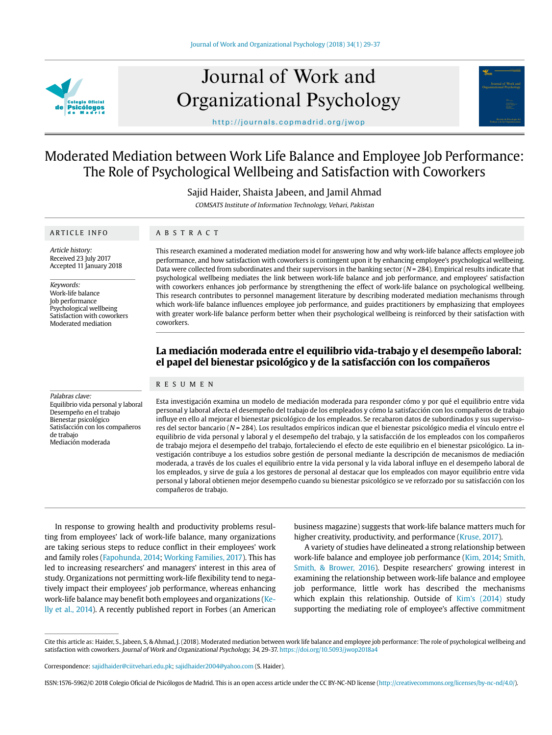

# Journal of Work and Organizational Psychology

http://journals.copmadrid.org/jwop

# Moderated Mediation between Work Life Balance and Employee Job Performance: The Role of Psychological Wellbeing and Satisfaction with Coworkers

Sajid Haider, Shaista Jabeen, and Jamil Ahmad

COMSATS Institute of Information Technology, Vehari, Pakistan

### ARTICLE INFO

ABSTRACT

Article history: Received 23 July 2017 Accepted 11 January 2018

Keywords:

Work-life balance Job performance Psychological wellbeing Satisfaction with coworkers Moderated mediation

This research examined a moderated mediation model for answering how and why work-life balance affects employee job performance, and how satisfaction with coworkers is contingent upon it by enhancing employee's psychological wellbeing. Data were collected from subordinates and their supervisors in the banking sector ( $N = 284$ ). Empirical results indicate that psychological wellbeing mediates the link between work-life balance and job performance, and employees' satisfaction with coworkers enhances job performance by strengthening the effect of work-life balance on psychological wellbeing. This research contributes to personnel management literature by describing moderated mediation mechanisms through which work-life balance influences employee job performance, and guides practitioners by emphasizing that employees with greater work-life balance perform better when their psychological wellbeing is reinforced by their satisfaction with coworkers.

# **La mediación moderada entre el equilibrio vida-trabajo y el desempeño laboral: el papel del bienestar psicológico y de la satisfacción con los compañeros**

# RESUMEN

Palabras clave: Equilibrio vida personal y laboral Desempeño en el trabajo Bienestar psicológico Satisfacción con los compañeros de trabajo Mediación moderada

Esta investigación examina un modelo de mediación moderada para responder cómo y por qué el equilibrio entre vida personal y laboral afecta el desempeño del trabajo de los empleados y cómo la satisfacción con los compañeros de trabajo influye en ello al mejorar el bienestar psicológico de los empleados. Se recabaron datos de subordinados y sus supervisores del sector bancario (N = 284). Los resultados empíricos indican que el bienestar psicológico media el vínculo entre el equilibrio de vida personal y laboral y el desempeño del trabajo, y la satisfacción de los empleados con los compañeros de trabajo mejora el desempeño del trabajo, fortaleciendo el efecto de este equilibrio en el bienestar psicológico. La investigación contribuye a los estudios sobre gestión de personal mediante la descripción de mecanismos de mediación moderada, a través de los cuales el equilibrio entre la vida personal y la vida laboral influye en el desempeño laboral de los empleados, y sirve de guía a los gestores de personal al destacar que los empleados con mayor equilibrio entre vida personal y laboral obtienen mejor desempeño cuando su bienestar psicológico se ve reforzado por su satisfacción con los compañeros de trabajo.

In response to growing health and productivity problems resulting from employees' lack of work-life balance, many organizations are taking serious steps to reduce conflict in their employees' work and family roles (Fapohunda, 2014; Working Families, 2017). This has led to increasing researchers' and managers' interest in this area of study. Organizations not permitting work-life flexibility tend to negatively impact their employees' job performance, whereas enhancing work-life balance may benefit both employees and organizations (Kelly et al., 2014). A recently published report in Forbes (an American

business magazine) suggests that work-life balance matters much for higher creativity, productivity, and performance (Kruse, 2017).

Journal of Work and

A variety of studies have delineated a strong relationship between work-life balance and employee job performance (Kim, 2014; Smith, Smith, & Brower, 2016). Despite researchers' growing interest in examining the relationship between work-life balance and employee job performance, little work has described the mechanisms which explain this relationship. Outside of Kim's (2014) study supporting the mediating role of employee's affective commitment

Cite this article as: Haider, S., Jabeen, S, & Ahmad, J. (2018). Moderated mediation between work life balance and employee job performance: The role of psychological wellbeing and satisfaction with coworkers. Journal of Work and Organizational Psychology, 34, 29-37. https://doi.org/10.5093/jwop2018a4

Correspondence: sajidhaider@ciitvehari.edu.pk; sajidhaider2004@yahoo.com (S. Haider).

ISSN:1576-5962/© 2018 Colegio Oficial de Psicólogos de Madrid. This is an open access article under the CC BY-NC-ND license (http://creativecommons.org/licenses/by-nc-nd/4.0/).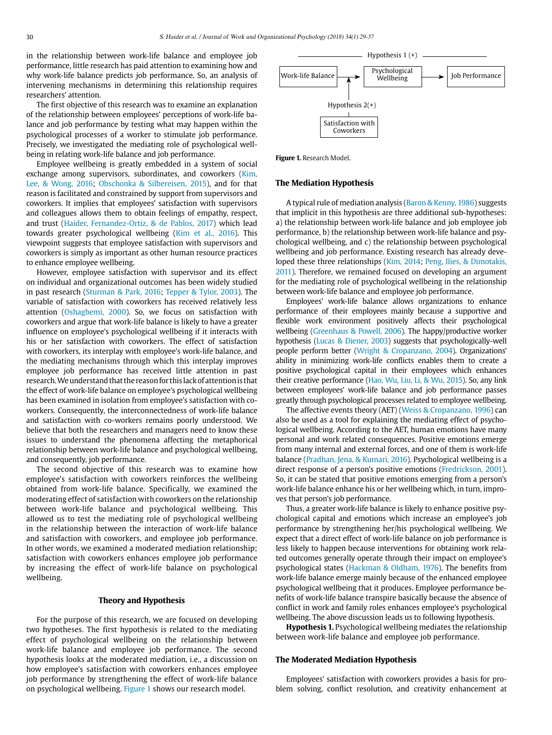in the relationship between work-life balance and employee job performance, little research has paid attention to examining how and why work-life balance predicts job performance. So, an analysis of intervening mechanisms in determining this relationship requires researchers' attention.

The first objective of this research was to examine an explanation of the relationship between employees' perceptions of work-life balance and job performance by testing what may happen within the psychological processes of a worker to stimulate job performance. Precisely, we investigated the mediating role of psychological wellbeing in relating work-life balance and job performance.

Employee wellbeing is greatly embedded in a system of social exchange among supervisors, subordinates, and coworkers (Kim, Lee, & Wong, 2016; Obschonka & Silbereisen, 2015), and for that reason is facilitated and constrained by support from supervisors and coworkers. It implies that employees' satisfaction with supervisors and colleagues allows them to obtain feelings of empathy, respect, and trust (Haider, Fernandez-Ortiz, & de Pablos, 2017) which lead towards greater psychological wellbeing (Kim et al., 2016). This viewpoint suggests that employee satisfaction with supervisors and coworkers is simply as important as other human resource practices to enhance employee wellbeing.

However, employee satisfaction with supervisor and its effect on individual and organizational outcomes has been widely studied in past research (Sturman & Park, 2016; Tepper & Tylor, 2003). The variable of satisfaction with coworkers has received relatively less attention (Oshagbemi, 2000). So, we focus on satisfaction with coworkers and argue that work-life balance is likely to have a greater influence on employee's psychological wellbeing if it interacts with his or her satisfaction with coworkers. The effect of satisfaction with coworkers, its interplay with employee's work-life balance, and the mediating mechanisms through which this interplay improves employee job performance has received little attention in past research. We understand that the reason for this lack of attention is that the effect of work-life balance on employee's psychological wellbeing has been examined in isolation from employee's satisfaction with coworkers. Consequently, the interconnectedness of work-life balance and satisfaction with co-workers remains poorly understood. We believe that both the researchers and managers need to know these issues to understand the phenomena affecting the metaphorical relationship between work-life balance and psychological wellbeing, and consequently, job performance.

The second objective of this research was to examine how employee's satisfaction with coworkers reinforces the wellbeing obtained from work-life balance. Specifically, we examined the moderating effect of satisfaction with coworkers on the relationship between work-life balance and psychological wellbeing. This allowed us to test the mediating role of psychological wellbeing in the relationship between the interaction of work-life balance and satisfaction with coworkers, and employee job performance. In other words, we examined a moderated mediation relationship; satisfaction with coworkers enhances employee job performance by increasing the effect of work-life balance on psychological wellbeing.

#### **Theory and Hypothesis**

For the purpose of this research, we are focused on developing two hypotheses. The first hypothesis is related to the mediating effect of psychological wellbeing on the relationship between work-life balance and employee job performance. The second hypothesis looks at the moderated mediation, i.e., a discussion on how employee's satisfaction with coworkers enhances employee job performance by strengthening the effect of work-life balance on psychological wellbeing. Figure 1 shows our research model.



Figure 1. Research Model.

# **The Mediation Hypothesis**

A typical rule of mediation analysis (Baron & Kenny, 1986) suggests that implicit in this hypothesis are three additional sub-hypotheses: a) the relationship between work-life balance and job employee job performance, b) the relationship between work-life balance and psychological wellbeing, and c) the relationship between psychological wellbeing and job performance. Existing research has already developed these three relationships (Kim, 2014; Peng, Ilies, & Dimotakis, 2011). Therefore, we remained focused on developing an argument for the mediating role of psychological wellbeing in the relationship between work-life balance and employee job performance.

Employees' work-life balance allows organizations to enhance performance of their employees mainly because a supportive and flexible work environment positively affects their psychological wellbeing (Greenhaus & Powell, 2006). The happy/productive worker hypothesis (Lucas & Diener, 2003) suggests that psychologically-well people perform better (Wright & Cropanzano, 2004). Organizations' ability in minimizing work-life conflicts enables them to create a positive psychological capital in their employees which enhances their creative performance (Hao, Wu, Liu, Li, & Wu, 2015). So, any link between employees' work-life balance and job performance passes greatly through psychological processes related to employee wellbeing.

The affective events theory (AET) (Weiss & Cropanzano, 1996) can also be used as a tool for explaining the mediating effect of psychological wellbeing. According to the AET, human emotions have many personal and work related consequences. Positive emotions emerge from many internal and external forces, and one of them is work-life balance (Pradhan, Jena, & Kumari, 2016). Psychological wellbeing is a direct response of a person's positive emotions (Fredrickson, 2001). So, it can be stated that positive emotions emerging from a person's work-life balance enhance his or her wellbeing which, in turn, improves that person's job performance.

Thus, a greater work-life balance is likely to enhance positive psychological capital and emotions which increase an employee's job performance by strengthening her/his psychological wellbeing. We expect that a direct effect of work-life balance on job performance is less likely to happen because interventions for obtaining work related outcomes generally operate through their impact on employee's psychological states (Hackman & Oldham, 1976). The benefits from work-life balance emerge mainly because of the enhanced employee psychological wellbeing that it produces. Employee performance benefits of work-life balance transpire basically because the absence of conflict in work and family roles enhances employee's psychological wellbeing. The above discussion leads us to following hypothesis.

**Hypothesis 1.** Psychological wellbeing mediates the relationship between work-life balance and employee job performance.

### **The Moderated Mediation Hypothesis**

Employees' satisfaction with coworkers provides a basis for problem solving, conflict resolution, and creativity enhancement at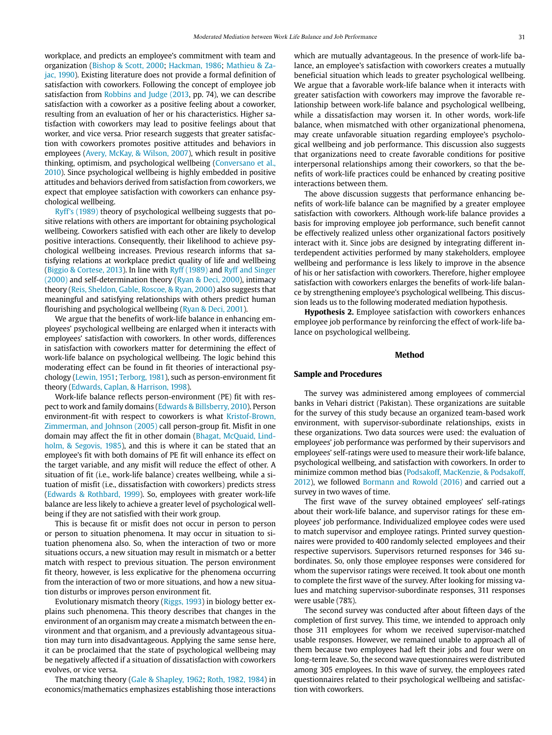workplace, and predicts an employee's commitment with team and organization (Bishop & Scott, 2000; Hackman, 1986; Mathieu & Zajac, 1990). Existing literature does not provide a formal definition of satisfaction with coworkers. Following the concept of employee job satisfaction from Robbins and Judge (2013, pp. 74), we can describe satisfaction with a coworker as a positive feeling about a coworker, resulting from an evaluation of her or his characteristics. Higher satisfaction with coworkers may lead to positive feelings about that worker, and vice versa. Prior research suggests that greater satisfaction with coworkers promotes positive attitudes and behaviors in employees (Avery, McKay, & Wilson, 2007), which result in positive thinking, optimism, and psychological wellbeing (Conversano et al., 2010). Since psychological wellbeing is highly embedded in positive attitudes and behaviors derived from satisfaction from coworkers, we expect that employee satisfaction with coworkers can enhance psychological wellbeing.

Ryff's (1989) theory of psychological wellbeing suggests that positive relations with others are important for obtaining psychological wellbeing. Coworkers satisfied with each other are likely to develop positive interactions. Consequently, their likelihood to achieve psychological wellbeing increases. Previous research informs that satisfying relations at workplace predict quality of life and wellbeing (Biggio & Cortese, 2013). In line with Ryff (1989) and Ryff and Singer (2000) and self-determination theory (Ryan & Deci, 2000), intimacy theory (Reis, Sheldon, Gable, Roscoe, & Ryan, 2000) also suggests that meaningful and satisfying relationships with others predict human flourishing and psychological wellbeing (Ryan & Deci, 2001).

We argue that the benefits of work-life balance in enhancing employees' psychological wellbeing are enlarged when it interacts with employees' satisfaction with coworkers. In other words, differences in satisfaction with coworkers matter for determining the effect of work-life balance on psychological wellbeing. The logic behind this moderating effect can be found in fit theories of interactional psychology (Lewin, 1951; Terborg, 1981), such as person-environment fit theory (Edwards, Caplan, & Harrison, 1998).

Work-life balance reflects person-environment (PE) fit with respect to work and family domains (Edwards & Billsberry, 2010). Person environment-fit with respect to coworkers is what Kristof-Brown, Zimmerman, and Johnson (2005) call person-group fit. Misfit in one domain may affect the fit in other domain (Bhagat, McQuaid, Lindholm, & Segovis, 1985), and this is where it can be stated that an employee's fit with both domains of PE fit will enhance its effect on the target variable, and any misfit will reduce the effect of other. A situation of fit (i.e., work-life balance) creates wellbeing, while a situation of misfit (i.e., dissatisfaction with coworkers) predicts stress (Edwards & Rothbard, 1999). So, employees with greater work-life balance are less likely to achieve a greater level of psychological wellbeing if they are not satisfied with their work group.

This is because fit or misfit does not occur in person to person or person to situation phenomena. It may occur in situation to situation phenomena also. So, when the interaction of two or more situations occurs, a new situation may result in mismatch or a better match with respect to previous situation. The person environment fit theory, however, is less explicative for the phenomena occurring from the interaction of two or more situations, and how a new situation disturbs or improves person environment fit.

Evolutionary mismatch theory (Riggs, 1993) in biology better explains such phenomena. This theory describes that changes in the environment of an organism may create a mismatch between the environment and that organism, and a previously advantageous situation may turn into disadvantageous. Applying the same sense here, it can be proclaimed that the state of psychological wellbeing may be negatively affected if a situation of dissatisfaction with coworkers evolves, or vice versa.

The matching theory (Gale & Shapley, 1962; Roth, 1982, 1984) in economics/mathematics emphasizes establishing those interactions which are mutually advantageous. In the presence of work-life balance, an employee's satisfaction with coworkers creates a mutually beneficial situation which leads to greater psychological wellbeing. We argue that a favorable work-life balance when it interacts with greater satisfaction with coworkers may improve the favorable relationship between work-life balance and psychological wellbeing, while a dissatisfaction may worsen it. In other words, work-life balance, when mismatched with other organizational phenomena, may create unfavorable situation regarding employee's psychological wellbeing and job performance. This discussion also suggests that organizations need to create favorable conditions for positive interpersonal relationships among their coworkers, so that the benefits of work-life practices could be enhanced by creating positive interactions between them.

The above discussion suggests that performance enhancing benefits of work-life balance can be magnified by a greater employee satisfaction with coworkers. Although work-life balance provides a basis for improving employee job performance, such benefit cannot be effectively realized unless other organizational factors positively interact with it. Since jobs are designed by integrating different interdependent activities performed by many stakeholders, employee wellbeing and performance is less likely to improve in the absence of his or her satisfaction with coworkers. Therefore, higher employee satisfaction with coworkers enlarges the benefits of work-life balance by strengthening employee's psychological wellbeing. This discussion leads us to the following moderated mediation hypothesis.

**Hypothesis 2.** Employee satisfaction with coworkers enhances employee job performance by reinforcing the effect of work-life balance on psychological wellbeing.

#### **Method**

# **Sample and Procedures**

The survey was administered among employees of commercial banks in Vehari district (Pakistan). These organizations are suitable for the survey of this study because an organized team-based work environment, with supervisor-subordinate relationships, exists in these organizations. Two data sources were used: the evaluation of employees' job performance was performed by their supervisors and employees' self-ratings were used to measure their work-life balance, psychological wellbeing, and satisfaction with coworkers. In order to minimize common method bias (Podsakoff, MacKenzie, & Podsakoff, 2012), we followed Bormann and Rowold (2016) and carried out a survey in two waves of time.

The first wave of the survey obtained employees' self-ratings about their work-life balance, and supervisor ratings for these employees' job performance. Individualized employee codes were used to match supervisor and employee ratings. Printed survey questionnaires were provided to 400 randomly selected employees and their respective supervisors. Supervisors returned responses for 346 subordinates. So, only those employee responses were considered for whom the supervisor ratings were received. It took about one month to complete the first wave of the survey. After looking for missing values and matching supervisor-subordinate responses, 311 responses were usable (78%).

The second survey was conducted after about fifteen days of the completion of first survey. This time, we intended to approach only those 311 employees for whom we received supervisor-matched usable responses. However, we remained unable to approach all of them because two employees had left their jobs and four were on long-term leave. So, the second wave questionnaires were distributed among 305 employees. In this wave of survey, the employees rated questionnaires related to their psychological wellbeing and satisfaction with coworkers.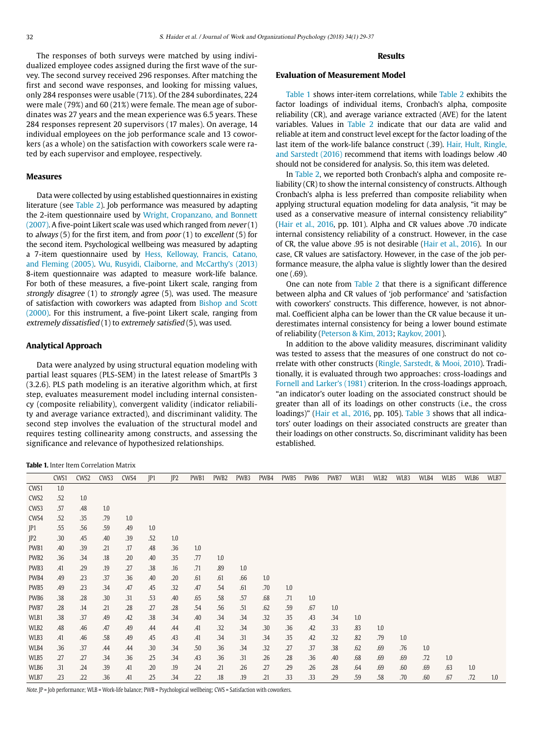The responses of both surveys were matched by using individualized employee codes assigned during the first wave of the survey. The second survey received 296 responses. After matching the first and second wave responses, and looking for missing values, only 284 responses were usable (71%). Of the 284 subordinates, 224 were male (79%) and 60 (21%) were female. The mean age of subordinates was 27 years and the mean experience was 6.5 years. These 284 responses represent 20 supervisors (17 males). On average, 14 individual employees on the job performance scale and 13 coworkers (as a whole) on the satisfaction with coworkers scale were rated by each supervisor and employee, respectively.

# **Measures**

Data were collected by using established questionnaires in existing literature (see Table 2). Job performance was measured by adapting the 2-item questionnaire used by Wright, Cropanzano, and Bonnett (2007). A five-point Likert scale was used which ranged from never (1) to always (5) for the first item, and from  $poor(1)$  to excellent (5) for the second item. Psychological wellbeing was measured by adapting a 7-item questionnaire used by Hess, Kelloway, Francis, Catano, and Fleming (2005). Wu, Rusyidi, Claiborne, and McCarthy's (2013) 8-item questionnaire was adapted to measure work-life balance. For both of these measures, a five-point Likert scale, ranging from strongly disagree (1) to strongly agree (5), was used. The measure of satisfaction with coworkers was adapted from Bishop and Scott (2000). For this instrument, a five-point Likert scale, ranging from extremely dissatisfied (1) to extremely satisfied (5), was used.

# **Analytical Approach**

Data were analyzed by using structural equation modeling with partial least squares (PLS-SEM) in the latest release of SmartPls 3 (3.2.6). PLS path modeling is an iterative algorithm which, at first step, evaluates measurement model including internal consistency (composite reliability), convergent validity (indicator reliability and average variance extracted), and discriminant validity. The second step involves the evaluation of the structural model and requires testing collinearity among constructs, and assessing the significance and relevance of hypothesized relationships.

# **Results**

# **Evaluation of Measurement Model**

Table 1 shows inter-item correlations, while Table 2 exhibits the factor loadings of individual items, Cronbach's alpha, composite reliability (CR), and average variance extracted (AVE) for the latent variables. Values in Table 2 indicate that our data are valid and reliable at item and construct level except for the factor loading of the last item of the work-life balance construct (.39). Hair, Hult, Ringle, and Sarstedt (2016) recommend that items with loadings below .40 should not be considered for analysis. So, this item was deleted.

In Table 2, we reported both Cronbach's alpha and composite reliability (CR) to show the internal consistency of constructs. Although Cronbach's alpha is less preferred than composite reliability when applying structural equation modeling for data analysis, "it may be used as a conservative measure of internal consistency reliability" (Hair et al., 2016, pp. 101). Alpha and CR values above .70 indicate internal consistency reliability of a construct. However, in the case of CR, the value above .95 is not desirable (Hair et al., 2016). In our case, CR values are satisfactory. However, in the case of the job performance measure, the alpha value is slightly lower than the desired one (.69).

One can note from Table 2 that there is a significant difference between alpha and CR values of 'job performance' and 'satisfaction with coworkers' constructs. This difference, however, is not abnormal. Coefficient alpha can be lower than the CR value because it underestimates internal consistency for being a lower bound estimate of reliability (Peterson & Kim, 2013; Raykov, 2001).

In addition to the above validity measures, discriminant validity was tested to assess that the measures of one construct do not correlate with other constructs (Ringle, Sarstedt, & Mooi, 2010). Traditionally, it is evaluated through two approaches: cross-loadings and Fornell and Larker's (1981) criterion. In the cross-loadings approach, "an indicator's outer loading on the associated construct should be greater than all of its loadings on other constructs (i.e., the cross loadings)" (Hair et al., 2016, pp. 105). Table 3 shows that all indicators' outer loadings on their associated constructs are greater than their loadings on other constructs. So, discriminant validity has been established.

# **Table 1.** Inter Item Correlation Matrix

|                  | CWS1 | CWS <sub>2</sub> | CWS3 | CWS4 | IP1 | IP2 | PWB1 | PWB <sub>2</sub> | PWB3 | PWB4 | PWB5 | PWB6 | PWB7 | WLB1 | WLB2 | WLB3 | WLB4 | WLB5 | WLB6 | WLB7 |
|------------------|------|------------------|------|------|-----|-----|------|------------------|------|------|------|------|------|------|------|------|------|------|------|------|
| CWS1             | 1.0  |                  |      |      |     |     |      |                  |      |      |      |      |      |      |      |      |      |      |      |      |
| CWS <sub>2</sub> | .52  | 1.0              |      |      |     |     |      |                  |      |      |      |      |      |      |      |      |      |      |      |      |
| CWS3             | .57  | .48              | 1.0  |      |     |     |      |                  |      |      |      |      |      |      |      |      |      |      |      |      |
| CWS4             | .52  | .35              | .79  | 1.0  |     |     |      |                  |      |      |      |      |      |      |      |      |      |      |      |      |
| JP1              | .55  | .56              | .59  | .49  | 1.0 |     |      |                  |      |      |      |      |      |      |      |      |      |      |      |      |
| JP <sub>2</sub>  | .30  | .45              | .40  | .39  | .52 | 1.0 |      |                  |      |      |      |      |      |      |      |      |      |      |      |      |
| PWB1             | .40  | .39              | .21  | .17  | .48 | .36 | 1.0  |                  |      |      |      |      |      |      |      |      |      |      |      |      |
| PWB <sub>2</sub> | .36  | .34              | .18  | .20  | .40 | .35 | .77  | 1.0              |      |      |      |      |      |      |      |      |      |      |      |      |
| PWB3             | .41  | .29              | .19  | .27  | .38 | .16 | .71  | .89              | 1.0  |      |      |      |      |      |      |      |      |      |      |      |
| PWB4             | .49  | .23              | .37  | .36  | .40 | .20 | .61  | .61              | .66  | 1.0  |      |      |      |      |      |      |      |      |      |      |
| PWB5             | .49  | .23              | .34  | .47  | .45 | .32 | .47  | .54              | .61  | .70  | 1.0  |      |      |      |      |      |      |      |      |      |
| PWB6             | .38  | .28              | .30  | .31  | .53 | .40 | .65  | .58              | .57  | .68  | .71  | 1.0  |      |      |      |      |      |      |      |      |
| PWB7             | .28  | .14              | .21  | .28  | .27 | .28 | .54  | .56              | .51  | .62  | .59  | .67  | 1.0  |      |      |      |      |      |      |      |
| WLB1             | .38  | .37              | .49  | .42  | .38 | .34 | .40  | .34              | .34  | .32  | .35  | .43  | .34  | 1.0  |      |      |      |      |      |      |
| WLB2             | .48  | .46              | .47  | .49  | .44 | .44 | .41  | .32              | .34  | .30  | .36  | .42  | .33  | .83  | 1.0  |      |      |      |      |      |
| WLB3             | .41  | .46              | .58  | .49  | .45 | .43 | .41  | .34              | .31  | .34  | .35  | .42  | .32  | .82  | .79  | 1.0  |      |      |      |      |
| WLB4             | .36  | .37              | .44  | .44  | .30 | .34 | .50  | .36              | .34  | .32  | .27  | .37  | .38  | .62  | .69  | .76  | 1.0  |      |      |      |
| WLB5             | .27  | .27              | .34  | .36  | .25 | .34 | .43  | .36              | .31  | .26  | .28  | .36  | .40  | .68  | .69  | .69  | .72  | 1.0  |      |      |
| WLB6             | .31  | .24              | .39  | .41  | .20 | .19 | .24  | .21              | .26  | .27  | .29  | .26  | .28  | .64  | .69  | .60  | .69  | .63  | 1.0  |      |
| WLB7             | .23  | .22              | .36  | .41  | .25 | .34 | .22  | .18              | .19  | .21  | .33  | .33  | .29  | .59  | .58  | .70  | .60  | .67  | .72  | 1.0  |

Note. JP = Job performance; WLB = Work-life balance; PWB = Psychological wellbeing; CWS = Satisfaction with coworkers.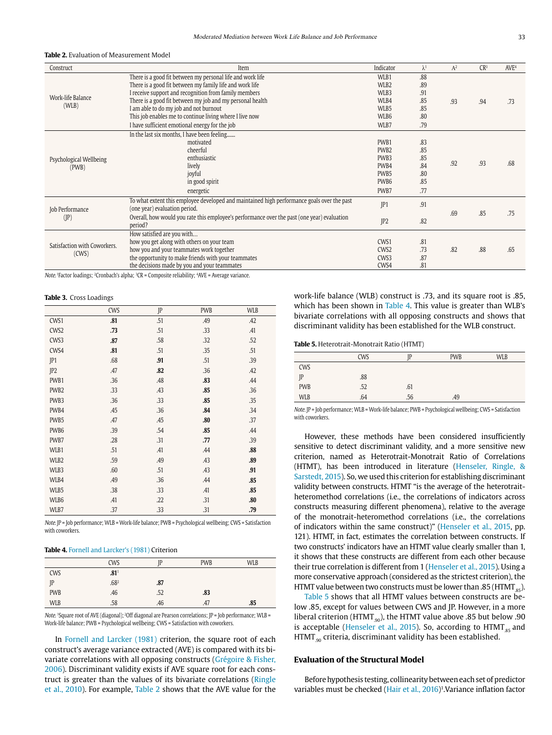#### **Table 2.** Evaluation of Measurement Model

| Construct                    | Item                                                                                                   | Indicator         | $\lambda^1$ | $A^2$ | CR <sup>3</sup> | AVE <sup>4</sup> |
|------------------------------|--------------------------------------------------------------------------------------------------------|-------------------|-------------|-------|-----------------|------------------|
|                              | There is a good fit between my personal life and work life                                             | WLB1              | .88         |       |                 |                  |
|                              | There is a good fit between my family life and work life                                               | WLB <sub>2</sub>  | .89         |       |                 |                  |
| Work-life Balance            | I receive support and recognition from family members                                                  | WLB3              | .91         |       |                 |                  |
| (WLB)                        | There is a good fit between my job and my personal health                                              | WLB4              | .85         | .93   | .94             | .73              |
|                              | I am able to do my job and not burnout                                                                 | WLB5              | .85         |       |                 |                  |
|                              | This job enables me to continue living where I live now                                                | WLB6              | .80         |       |                 |                  |
|                              | I have sufficient emotional energy for the job                                                         | WLB7              | .79         |       |                 |                  |
|                              | In the last six months, I have been feeling                                                            |                   |             |       |                 |                  |
|                              | motivated                                                                                              | PWB1              | .83         |       |                 |                  |
|                              | cheerful                                                                                               | PW <sub>B2</sub>  | .85         |       |                 |                  |
| Psychological Wellbeing      | enthusiastic                                                                                           | PWB <sub>3</sub>  | .85         |       | .93             |                  |
| (PWB)                        | lively                                                                                                 | PW <sub>B4</sub>  | .84         | .92   |                 | .68              |
|                              | joyful                                                                                                 | PWB <sub>5</sub>  | .80         |       |                 |                  |
|                              | in good spirit                                                                                         | PWB6              | .85         |       |                 |                  |
|                              | energetic                                                                                              | PWB7              | .77         |       |                 |                  |
|                              | To what extent this employee developed and maintained high performance goals over the past             | IP1               | .91         |       |                 |                  |
| Job Performance              | (one year) evaluation period.                                                                          |                   |             | .69   | .85             | .75              |
| $(\mathbb{P})$               | Overall, how would you rate this employee's performance over the past (one year) evaluation<br>period? | IP2               | .82         |       |                 |                  |
|                              | How satisfied are you with                                                                             |                   |             |       |                 |                  |
| Satisfaction with Coworkers. | how you get along with others on your team                                                             | CWS1              | .81         |       |                 |                  |
| (CWS)                        | how you and your teammates work together                                                               | CW <sub>S2</sub>  | .73         | .82   | .88             | .65              |
|                              | the opportunity to make friends with your teammates                                                    | CW <sub>S</sub> 3 | .87         |       |                 |                  |
|                              | the decisions made by you and your teammates                                                           | CWS4              | .81         |       |                 |                  |

Note. 1Factor loadings; 2Cronbach's alpha; 3CR = Composite reliability; 4AVE = Average variance.

#### **Table 3.** Cross Loadings

|                  | CWS | P   | <b>PWB</b> | <b>WLB</b> |
|------------------|-----|-----|------------|------------|
| CWS1             | .81 | .51 | .49        | .42        |
| CWS <sub>2</sub> | .73 | .51 | .33        | .41        |
| CWS3             | .87 | .58 | .32        | .52        |
| CWS4             | .81 | .51 | .35        | .51        |
| P1               | .68 | .91 | .51        | .39        |
| IP2              | .47 | .82 | .36        | .42        |
| PWB1             | .36 | .48 | .83        | .44        |
| PWB <sub>2</sub> | .33 | .43 | .85        | .36        |
| PWB3             | .36 | .33 | .85        | .35        |
| PWB4             | .45 | .36 | .84        | .34        |
| PWB5             | .47 | .45 | .80        | .37        |
| PWB6             | .39 | .54 | .85        | .44        |
| PWB7             | .28 | .31 | .77        | .39        |
| WLB1             | .51 | .41 | .44        | .88        |
| WLB2             | .59 | .49 | .43        | .89        |
| WLB3             | .60 | .51 | .43        | .91        |
| WLB4             | .49 | .36 | .44        | .85        |
| WLB5             | .38 | .33 | .41        | .85        |
| WLB6             | .41 | .22 | .31        | .80        |
| WLB7             | .37 | .33 | .31        | .79        |

Note. JP = Job performance; WLB = Work-life balance; PWB = Psychological wellbeing; CWS = Satisfaction with coworkers.

#### **Table 4.** Fornell and Larcker's (1981) Criterion

|            | <b>CWS</b>       | ID  | <b>PWB</b> | <b>WLB</b> |
|------------|------------------|-----|------------|------------|
| <b>CWS</b> | .81 <sup>1</sup> |     |            |            |
| ID         | .682             | .87 |            |            |
| <b>PWB</b> | .46              | .52 | .83        |            |
| <b>WLB</b> | .58              | .46 | .47        | .85        |

Note. <sup>1</sup>Square root of AVE (diagonal); <sup>2</sup>Off diagonal are Pearson correlations; IP = Job performance; WLB = Work-life balance; PWB = Psychological wellbeing; CWS = Satisfaction with coworkers.

In Fornell and Larcker (1981) criterion, the square root of each construct's average variance extracted (AVE) is compared with its bivariate correlations with all opposing constructs (Grégoire & Fisher, 2006). Discriminant validity exists if AVE square root for each construct is greater than the values of its bivariate correlations (Ringle et al., 2010). For example, Table 2 shows that the AVE value for the

work-life balance (WLB) construct is .73, and its square root is .85, which has been shown in Table 4. This value is greater than WLB's bivariate correlations with all opposing constructs and shows that discriminant validity has been established for the WLB construct.

**Table 5.** Heterotrait-Monotrait Ratio (HTMT)

|            | <b>CWS</b> | ID  | <b>PWB</b> | <b>WLB</b> |
|------------|------------|-----|------------|------------|
| <b>CWS</b> |            |     |            |            |
| JP         | .88        |     |            |            |
| <b>PWB</b> | .52        | .61 |            |            |
| <b>WLB</b> | .64        | .56 | .49        |            |

Note. JP = Job performance; WLB = Work-life balance; PWB = Psychological wellbeing; CWS = Satisfaction with coworkers.

However, these methods have been considered insufficiently sensitive to detect discriminant validity, and a more sensitive new criterion, named as Heterotrait-Monotrait Ratio of Correlations (HTMT), has been introduced in literature (Henseler, Ringle, & Sarstedt, 2015). So, we used this criterion for establishing discriminant validity between constructs. HTMT "is the average of the heterotraitheteromethod correlations (i.e., the correlations of indicators across constructs measuring different phenomena), relative to the average of the monotrait-heteromethod correlations (i.e., the correlations of indicators within the same construct)" (Henseler et al., 2015, pp. 121). HTMT, in fact, estimates the correlation between constructs. If two constructs' indicators have an HTMT value clearly smaller than 1, it shows that these constructs are different from each other because their true correlation is different from 1 (Henseler et al., 2015). Using a more conservative approach (considered as the strictest criterion), the HTMT value between two constructs must be lower than .85 (HTMT  $_{85}$ ).

Table 5 shows that all HTMT values between constructs are below .85, except for values between CWS and JP. However, in a more liberal criterion (HTMT $_{90}$ ), the HTMT value above .85 but below .90 is acceptable (Henseler et al., 2015). So, according to HTMT $_{\text{ss}}$  and  $HTMT_{.90}$  criteria, discriminant validity has been established.

#### **Evaluation of the Structural Model**

Before hypothesis testing, collinearity between each set of predictor variables must be checked (Hair et al., 2016)<sup>1</sup>. Variance inflation factor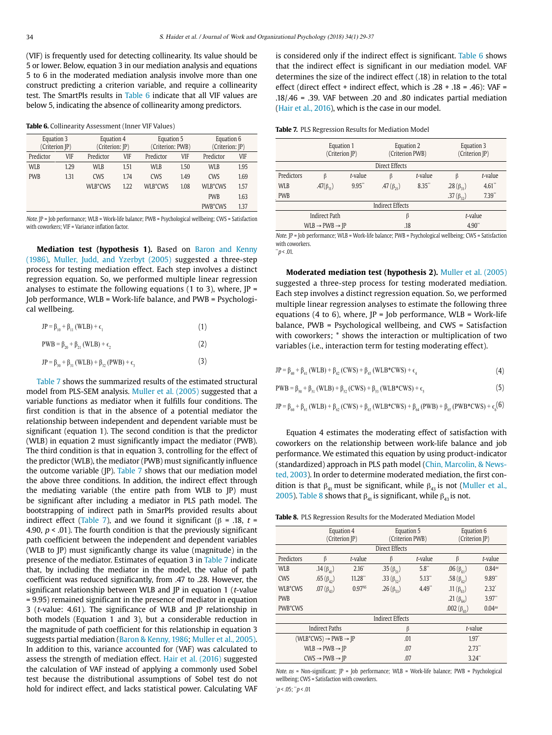(VIF) is frequently used for detecting collinearity. Its value should be 5 or lower. Below, equation 3 in our mediation analysis and equations 5 to 6 in the moderated mediation analysis involve more than one construct predicting a criterion variable, and require a collinearity test. The SmartPls results in Table 6 indicate that all VIF values are below 5, indicating the absence of collinearity among predictors.

| Table 6. Collinearity Assessment (Inner VIF Values) |  |  |
|-----------------------------------------------------|--|--|
|-----------------------------------------------------|--|--|

| Equation 3     |            |                 |            |      | Equation 6                     |      |  |
|----------------|------------|-----------------|------------|------|--------------------------------|------|--|
| (Criterion JP) |            | (Criterion: JP) |            |      | (Criterion: JP)                |      |  |
| VIF            | Predictor  | <b>VIF</b>      | Predictor  | VIF  | Predictor                      | VIF  |  |
| 1.29           | <b>WLB</b> | 1.51            | <b>WLB</b> | 1.50 | WLB                            | 1.95 |  |
| 1.31           | <b>CWS</b> | 1.74            | <b>CWS</b> | 1.49 | <b>CWS</b>                     | 1.69 |  |
|                | WLB*CWS    | 1.22            | WLB*CWS    | 1.08 | WLB*CWS                        | 1.57 |  |
|                |            |                 |            |      | <b>PWB</b>                     | 1.63 |  |
|                |            |                 |            |      | PWB*CWS                        | 1.37 |  |
|                |            |                 | Equation 4 |      | Equation 5<br>(Criterion: PWB) |      |  |

Note. JP = Job performance; WLB = Work-life balance; PWB = Psychological wellbeing; CWS = Satisfaction with coworkers; VIF = Variance inflation factor.

**Mediation test (hypothesis 1).** Based on Baron and Kenny (1986), Muller, Judd, and Yzerbyt (2005) suggested a three-step process for testing mediation effect. Each step involves a distinct regression equation. So, we performed multiple linear regression analyses to estimate the following equations (1 to 3), where,  $|P =$ Job performance, WLB = Work-life balance, and PWB = Psychological wellbeing.

(2)

| JP = β <sub>10</sub> + β <sub>11</sub> (WLB) + ε <sub>1</sub> |  |
|---------------------------------------------------------------|--|
|---------------------------------------------------------------|--|

| PWB = $β_{20} + β_{21}$ (WLB) + $ε_2$ |  |
|---------------------------------------|--|
|---------------------------------------|--|

JP = β<sub>30</sub> + β<sub>31</sub> (WLB) + β<sub>32</sub> (PWB) +  $ε_3$ (3)

Table 7 shows the summarized results of the estimated structural model from PLS-SEM analysis. Muller et al. (2005) suggested that a variable functions as mediator when it fulfills four conditions. The first condition is that in the absence of a potential mediator the relationship between independent and dependent variable must be significant (equation 1). The second condition is that the predictor (WLB) in equation 2 must significantly impact the mediator (PWB). The third condition is that in equation 3, controlling for the effect of the predictor (WLB), the mediator (PWB) must significantly influence the outcome variable (JP). Table 7 shows that our mediation model the above three conditions. In addition, the indirect effect through the mediating variable (the entire path from WLB to JP) must be significant after including a mediator in PLS path model. The bootstrapping of indirect path in SmarPls provided results about indirect effect (Table 7), and we found it significant (β = .18, t = 4.90,  $p < .01$ ). The fourth condition is that the previously significant path coefficient between the independent and dependent variables (WLB to JP) must significantly change its value (magnitude) in the presence of the mediator. Estimates of equation 3 in Table 7 indicate that, by including the mediator in the model, the value of path coefficient was reduced significantly, from .47 to .28. However, the significant relationship between WLB and JP in equation 1 ( $t$ -value = 9.95) remained significant in the presence of mediator in equation 3 (t-value: 4.61). The significance of WLB and JP relationship in both models (Equation 1 and 3), but a considerable reduction in the magnitude of path coefficient for this relationship in equation 3 suggests partial mediation (Baron & Kenny, 1986; Muller et al., 2005). In addition to this, variance accounted for (VAF) was calculated to assess the strength of mediation effect. Hair et al. (2016) suggested the calculation of VAF instead of applying a commonly used Sobel test because the distributional assumptions of Sobel test do not hold for indirect effect, and lacks statistical power. Calculating VAF is considered only if the indirect effect is significant. Table 6 shows that the indirect effect is significant in our mediation model. VAF determines the size of the indirect effect (.18) in relation to the total effect (direct effect + indirect effect, which is  $.28 + .18 = .46$ ): VAF = .18/.46 = .39. VAF between .20 and .80 indicates partial mediation (Hair et al., 2016), which is the case in our model.

|                                      |         |                              |         | Equation 3<br>(Criterion JP)                                         |          |  |  |
|--------------------------------------|---------|------------------------------|---------|----------------------------------------------------------------------|----------|--|--|
| Direct Effects                       |         |                              |         |                                                                      |          |  |  |
| β                                    | t-value | β                            | t-value | β                                                                    | t-value  |  |  |
| .47( $\beta_{11}$ )                  | 9.95"   | .47 $(\beta_{21})$           | 8.35"   | .28 $(\beta_{31})$                                                   | $4.61$ " |  |  |
|                                      |         |                              |         | .37 $(\beta_{32})$                                                   | 7.39"    |  |  |
|                                      |         |                              |         |                                                                      |          |  |  |
| <b>Indirect Path</b>                 |         |                              |         |                                                                      |          |  |  |
| $WLB \rightarrow PWB \rightarrow IP$ |         |                              |         | 4.90"                                                                |          |  |  |
|                                      |         | Equation 1<br>(Criterion JP) |         | Equation 2<br>(Criterion PWB)<br><b>Indirect Effects</b><br>β<br>.18 | t-value  |  |  |

Note. JP = Job performance; WLB = Work-life balance; PWB = Psychological wellbeing; CWS = Satisfaction with coworkers.  $\dddot{p}$  < .01.

**Moderated mediation test (hypothesis 2).** Muller et al. (2005) suggested a three-step process for testing moderated mediation. Each step involves a distinct regression equation. So, we performed multiple linear regression analyses to estimate the following three equations (4 to 6), where,  $IP =$  Job performance, WLB = Work-life balance, PWB = Psychological wellbeing, and CWS = Satisfaction with coworkers; \* shows the interaction or multiplication of two variables (i.e., interaction term for testing moderating effect).

| $JP = \beta_{40} + \beta_{41} (WLB) + \beta_{42} (CWS) + \beta_{43} (WLB*CWS) + \epsilon_4$ |  |
|---------------------------------------------------------------------------------------------|--|
|---------------------------------------------------------------------------------------------|--|

$$
PWB = \beta_{s0} + \beta_{s1} (WLB) + \beta_{s2} (CWS) + \beta_{s3} (WLB*CWS) + \epsilon_s
$$
 (5)

 $JP = \beta_{60} + \beta_{61} (WLB) + \beta_{62} (CWS) + \beta_{63} (WLB*CWS) + \beta_{64} (PWB) + \beta_{65} (PWB*CWS) + ε_{6} (6)$ 

Equation 4 estimates the moderating effect of satisfaction with coworkers on the relationship between work-life balance and job performance. We estimated this equation by using product-indicator (standardized) approach in PLS path model (Chin, Marcolin, & Newsted, 2003). In order to determine moderated mediation, the first condition is that  $\beta_{41}$  must be significant, while  $\beta_{43}$  is not (Muller et al., 2005). Table 8 shows that  $\beta_{41}$  is significant, while  $\beta_{43}$  is not.

**Table 8.** PLS Regression Results for the Moderated Mediation Model

|                                            | Equation 4<br>(Criterion JP) |                    | Equation 5<br>(Criterion PWB) |         | Equation 6<br>(Criterion JP) |                  |
|--------------------------------------------|------------------------------|--------------------|-------------------------------|---------|------------------------------|------------------|
| Direct Effects                             |                              |                    |                               |         |                              |                  |
| Predictors                                 | β                            | t-value            | β                             | t-value | $\beta$                      | t-value          |
| <b>WLB</b>                                 | .14 $(\beta_n)$              | $2.16^{\circ}$     | .35 $(\beta_{51})$            | 5.8"    | .06 $(\beta_{51})$           | $0.84$ ns        |
| <b>CWS</b>                                 | .65 $(\beta_{42})$           | 11.28"             | .33 $(\beta_{52})$            | 5.13"   | .58 $(\beta_{c_2})$          | 9.89"            |
| WLB*CWS                                    | .07 $(\beta_{43})$           | 0.97 <sup>NS</sup> | .26 $(\beta_{53})$            | 4.49"   | .11 $(\beta_{53})$           | $2.32^{\degree}$ |
| <b>PWB</b>                                 |                              |                    |                               |         | .21 $(\beta_{64})$           | 3.97"            |
| PWB*CWS                                    |                              |                    |                               |         | .002 $(\beta_{65})$          | $0.04^{ns}$      |
| <b>Indirect Effects</b>                    |                              |                    |                               |         |                              |                  |
| <b>Indirect Paths</b>                      |                              |                    | β                             |         | t-value                      |                  |
| $(WLB*CWS) \rightarrow PWB \rightarrow IP$ |                              |                    | .01                           |         | 1.97                         |                  |
| $WLB \rightarrow PWB \rightarrow IP$       |                              |                    | .07                           |         | 2.73"                        |                  |
| $CWS \rightarrow PWB \rightarrow IP$       |                              |                    | .07                           |         | $3.24$ "                     |                  |

Note.  $ns$  = Non-significant;  $|P|$  = Job performance; WLB = Work-life balance; PWB = Psychological wellbeing; CWS = Satisfaction with coworkers.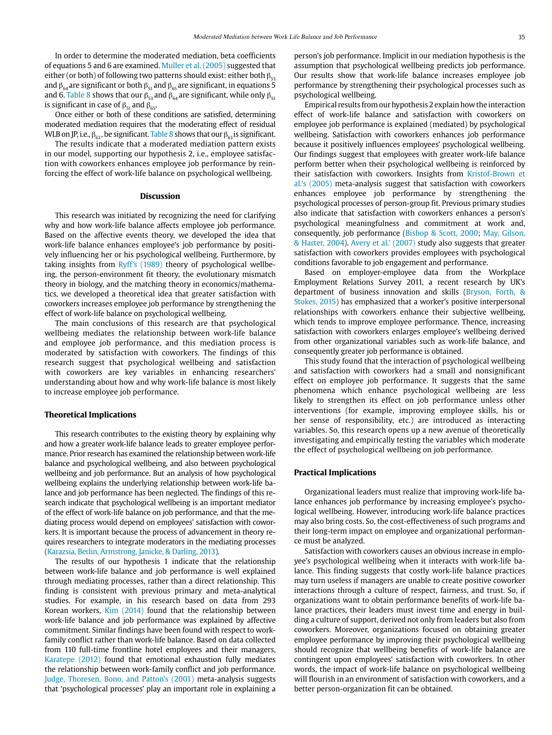In order to determine the moderated mediation, beta coefficients of equations 5 and 6 are examined. Muller et al. (2005) suggested that either (or both) of following two patterns should exist: either both  $\beta_{53}$ and  $\beta_{64}$  are significant or both  $\beta_{51}$  and  $\beta_{65}$  are significant, in equations 5 and 6. Table 8 shows that our  $\beta_{53}$  and  $\beta_{64}$  are significant, while only  $\beta_{51}$ is significant in case of  $\beta_{51}$  and  $\beta_{65}$ .

Once either or both of these conditions are satisfied, determining moderated mediation requires that the moderating effect of residual WLB on JP, i.e.,  $\beta_{63}$ , be significant. Table 8 shows that our  $\beta_{63}$  is significant.

The results indicate that a moderated mediation pattern exists in our model, supporting our hypothesis 2, i.e., employee satisfaction with coworkers enhances employee job performance by reinforcing the effect of work-life balance on psychological wellbeing.

# **Discussion**

This research was initiated by recognizing the need for clarifying why and how work-life balance affects employee job performance. Based on the affective events theory, we developed the idea that work-life balance enhances employee's job performance by positively influencing her or his psychological wellbeing. Furthermore, by taking insights from Ryff's (1989) theory of psychological wellbeing, the person-environment fit theory, the evolutionary mismatch theory in biology, and the matching theory in economics/mathematics, we developed a theoretical idea that greater satisfaction with coworkers increases employee job performance by strengthening the effect of work-life balance on psychological wellbeing.

The main conclusions of this research are that psychological wellbeing mediates the relationship between work-life balance and employee job performance, and this mediation process is moderated by satisfaction with coworkers. The findings of this research suggest that psychological wellbeing and satisfaction with coworkers are key variables in enhancing researchers' understanding about how and why work-life balance is most likely to increase employee job performance.

### **Theoretical Implications**

This research contributes to the existing theory by explaining why and how a greater work-life balance leads to greater employee performance. Prior research has examined the relationship between work-life balance and psychological wellbeing, and also between psychological wellbeing and job performance. But an analysis of how psychological wellbeing explains the underlying relationship between work-life balance and job performance has been neglected. The findings of this research indicate that psychological wellbeing is an important mediator of the effect of work-life balance on job performance, and that the mediating process would depend on employees' satisfaction with coworkers. It is important because the process of advancement in theory requires researchers to integrate moderators in the mediating processes (Karazsia, Berlin, Armstrong, Janicke, & Darling, 2013).

The results of our hypothesis 1 indicate that the relationship between work-life balance and job performance is well explained through mediating processes, rather than a direct relationship. This finding is consistent with previous primary and meta-analytical studies. For example, in his research based on data from 293 Korean workers, Kim (2014) found that the relationship between work-life balance and job performance was explained by affective commitment. Similar findings have been found with respect to workfamily conflict rather than work-life balance. Based on data collected from 110 full-time frontline hotel employees and their managers, Karatepe (2012) found that emotional exhaustion fully mediates the relationship between work-family conflict and job performance. Judge, Thoresen, Bono, and Patton's (2001) meta-analysis suggests that 'psychological processes' play an important role in explaining a

person's job performance. Implicit in our mediation hypothesis is the assumption that psychological wellbeing predicts job performance. Our results show that work-life balance increases employee job performance by strengthening their psychological processes such as psychological wellbeing.

Empirical results from our hypothesis 2 explain how the interaction effect of work-life balance and satisfaction with coworkers on employee job performance is explained (mediated) by psychological wellbeing. Satisfaction with coworkers enhances job performance because it positively influences employees' psychological wellbeing. Our findings suggest that employees with greater work-life balance perform better when their psychological wellbeing is reinforced by their satisfaction with coworkers. Insights from Kristof-Brown et al.'s (2005) meta-analysis suggest that satisfaction with coworkers enhances employee job performance by strengthening the psychological processes of person-group fit. Previous primary studies also indicate that satisfaction with coworkers enhances a person's psychological meaningfulness and commitment at work and, consequently, job performance (Bishop & Scott, 2000; May, Gilson, & Harter, 2004). Avery et al.' (2007) study also suggests that greater satisfaction with coworkers provides employees with psychological conditions favorable to job engagement and performance.

Based on employer-employee data from the Workplace Employment Relations Survey 2011, a recent research by UK's department of business innovation and skills (Bryson, Forth, & Stokes, 2015) has emphasized that a worker's positive interpersonal relationships with coworkers enhance their subjective wellbeing, which tends to improve employee performance. Thence, increasing satisfaction with coworkers enlarges employee's wellbeing derived from other organizational variables such as work-life balance, and consequently greater job performance is obtained.

This study found that the interaction of psychological wellbeing and satisfaction with coworkers had a small and nonsignificant effect on employee job performance. It suggests that the same phenomena which enhance psychological wellbeing are less likely to strengthen its effect on job performance unless other interventions (for example, improving employee skills, his or her sense of responsibility, etc.) are introduced as interacting variables. So, this research opens up a new avenue of theoretically investigating and empirically testing the variables which moderate the effect of psychological wellbeing on job performance.

# **Practical Implications**

Organizational leaders must realize that improving work-life balance enhances job performance by increasing employee's psychological wellbeing. However, introducing work-life balance practices may also bring costs. So, the cost-effectiveness of such programs and their long-term impact on employee and organizational performance must be analyzed.

Satisfaction with coworkers causes an obvious increase in employee's psychological wellbeing when it interacts with work-life balance. This finding suggests that costly work-life balance practices may turn useless if managers are unable to create positive coworker interactions through a culture of respect, fairness, and trust. So, if organizations want to obtain performance benefits of work-life balance practices, their leaders must invest time and energy in building a culture of support, derived not only from leaders but also from coworkers. Moreover, organizations focused on obtaining greater employee performance by improving their psychological wellbeing should recognize that wellbeing benefits of work-life balance are contingent upon employees' satisfaction with coworkers. In other words, the impact of work-life balance on psychological wellbeing will flourish in an environment of satisfaction with coworkers, and a better person-organization fit can be obtained.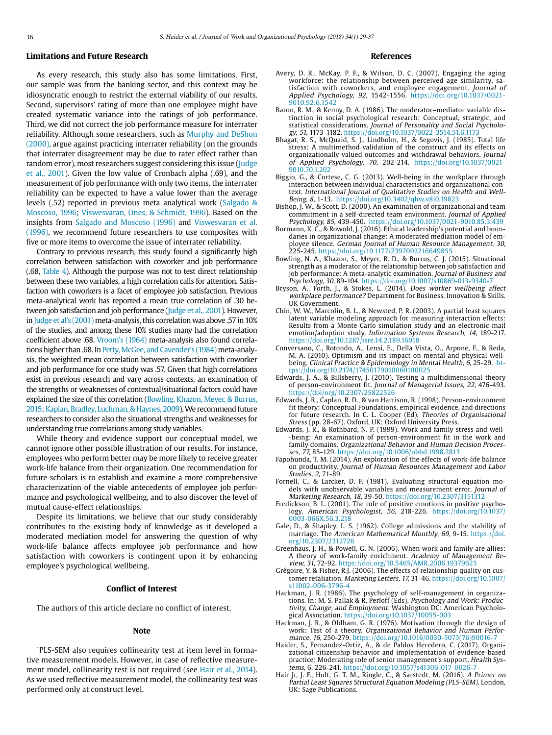# **Limitations and Future Research**

As every research, this study also has some limitations. First, our sample was from the banking sector, and this context may be idiosyncratic enough to restrict the external viability of our results. Second, supervisors' rating of more than one employee might have created systematic variance into the ratings of job performance. Third, we did not correct the job performance measure for interrater reliability. Although some researchers, such as Murphy and DeShon (2000), argue against practicing interrater reliability (on the grounds that interrater disagreement may be due to rater effect rather than random error), most researchers suggest considering this issue (Judge et al., 2001). Given the low value of Cronbach alpha (.69), and the measurement of job performance with only two items, the interrater reliability can be expected to have a value lower than the average levels (.52) reported in previous meta analytical work (Salgado & Moscoso, 1996; Viswesvaran, Ones, & Schmidt, 1996). Based on the insights from Salgado and Moscoso (1996) and Viswesvaran et al. (1996), we recommend future researchers to use composites with five or more items to overcome the issue of interrater reliability.

Contrary to previous research, this study found a significantly high correlation between satisfaction with coworker and job performance (.68, Table 4). Although the purpose was not to test direct relationship between these two variables, a high correlation calls for attention. Satisfaction with coworkers is a facet of employee job satisfaction. Previous meta-analytical work has reported a mean true correlation of .30 between job satisfaction and job performance (Judge et al., 2001). However, in Judge et al's (2001) meta-analysis, this correlation was above .57 in 10% of the studies, and among these 10% studies many had the correlation coefficient above .68. Vroom's (1964) meta-analysis also found correlations higher than .68. In Petty, McGee, and Cavender's (1984) meta-analysis, the weighted mean correlation between satisfaction with coworker and job performance for one study was .57. Given that high correlations exist in previous research and vary across contexts, an examination of the strengths or weaknesses of contextual/situational factors could have explained the size of this correlation (Bowling, Khazon, Meyer, & Burrus, 2015; Kaplan, Bradley, Luchman, & Haynes, 2009). We recommend future researchers to consider also the situational strengths and weaknesses for understanding true correlations among study variables.

While theory and evidence support our conceptual model, we cannot ignore other possible illustration of our results. For instance, employees who perform better may be more likely to receive greater work-life balance from their organization. One recommendation for future scholars is to establish and examine a more comprehensive characterization of the viable antecedents of employee job performance and psychological wellbeing, and to also discover the level of mutual cause-effect relationships.

Despite its limitations, we believe that our study considerably contributes to the existing body of knowledge as it developed a moderated mediation model for answering the question of why work-life balance affects employee job performance and how satisfaction with coworkers is contingent upon it by enhancing employee's psychological wellbeing.

# **Conflict of Interest**

The authors of this article declare no conflict of interest.

#### **Note**

1PLS-SEM also requires collinearity test at item level in formative measurement models. However, in case of reflective measurement model, collinearity test is not required (see Hair et al., 2014). As we used reflective measurement model, the collinearity test was performed only at construct level.

### **References**

- Avery, D. R., McKay, P. F., & Wilson, D. C. (2007). Engaging the aging workforce: the relationship between perceived age similarity, satisfaction with coworkers, and employee engagement. Journal of Applied Psychology, 92, 1542-1556. [https://doi.org/10.1037/0021-](http://dx.doi.org/10.1037/0021-9010.92.6.1542) [9010.92.6.1542](http://dx.doi.org/10.1037/0021-9010.92.6.1542)
- Baron, R. M., & Kenny, D. A. (1986). The moderator–mediator variable distinction in social psychological research: Conceptual, strategic, and statistical considerations. Journal of Personality and Social Psychology, 51, 1173-1182. [https://doi.org/10.1037/0022-3514.51.6.1173](http://dx.doi.org/10.1037/0022-3514.51.6.1173)
- Bhagat, R. S., McQuaid, S. J., Lindholm, H., & Segovis, J. (1985). Total life stress: A multimethod validation of the construct and its effects on organizationally valued outcomes and withdrawal behaviors. Journal of Applied Psychology, 70, 202-214. [https://doi.org/10.1037/0021-](http://dx.doi.org/10.1037/0021-9010.70.1.202) [9010.70.1.202](http://dx.doi.org/10.1037/0021-9010.70.1.202)
- Biggio, G., & Cortese, C. G. (2013). Well-being in the workplace through interaction between individual characteristics and organizational context. International Journal of Qualitative Studies on Health and Well-Being, 8, 1-13. [https://doi.org/10.3402/qhw.v8i0.19823](http://dx.doi.org/10.3402/qhw.v8i0.19823)
- Bishop, J. W., & Scott, D. (2000). An examination of organizational and team commitment in a self-directed team environment. Journal of Applied Psychology, 85, 439-450. [https://doi.org/10.1037/0021-9010.85.3.439](http://dx.doi.org/10.1037/0021-9010.85.3.439)
- Bormann, K. C., & Rowold, J. (2016). Ethical leadership's potential and boundaries in organizational change: A moderated mediation model of employee silence. German Journal of Human Resource Management, 30, 225-245. https://doi.org/10.1177/2397002216649855
- Bowling, N. A., Khazon, S., Meyer, R. D., & Burrus, C. J. (2015). Situational strength as a moderator of the relationship between job satisfaction and job performance: A meta-analytic examination. Journal of Business and Psychology, 30, 89-104. https://doi.org/10.1007/s10869-013-9340-7
- Bryson, A., Forth, J., & Stokes, L. (2014). Does worker wellbeing affect workplace performance? Department for Business, Innovation & Skills. UK Government.
- Chin, W. W., Marcolin, B. L., & Newsted, P. R. (2003). A partial least squares latent variable modeling approach for measuring interaction effects: Results from a Monte Carlo simulation study and an electronic-mail emotion/adoption study. Information Systems Research, 14, 189-217. [https://doi.org/10.1287/isre.14.2.189.16018](http://dx.doi.org/10.1287/isre.14.2.189.16018)
- Conversano, C., Rotondo, A., Lensi, E., Della Vista, O., Arpone, F., & Reda, M. A. (2010). Optimism and its impact on mental and physical wellbeing. Clinical Practice & Epidemiology in Mental Health, 6, 25-29. [ht](http://dx.doi.org/10.2174/17450179010060100025)[tps://doi.org/10.2174/17450179010060100025](http://dx.doi.org/10.2174/17450179010060100025)
- Edwards, J. A., & Billsberry, J. (2010). Testing a multidimensional theory of person-environment fit. Journal of Managerial Issues, 22, 476-493. https://doi/org/10.2307/25822526
- Edwards, J. R., Caplan, R. D., & van Harrison, R. (1998). Person-environment fit theory: Conceptual Foundations, empirical evidence, and directions for future research. In C. L. Cooper (Ed), Theories of Organisational Stress (pp. 28-67). Oxford, UK: Oxford University Press.
- Edwards, J. R., & Rothbard, N. P. (1999). Work and family stress and well- -being: An examination of person-environment fit in the work and family domains. Organizational Behavior and Human Decision Processes, 77, 85-129. [https://doi.org/10.1006/obhd.1998.2813](http://dx.doi.org/10.1006/obhd.1998.2813)
- Fapohunda, T. M. (2014). An exploration of the effects of work-life balance on productivity. Journal of Human Resources Management and Labor Studies, 2, 71-89.
- Fornell, C., & Larcker, D. F. (1981). Evaluating structural equation models with unobservable variables and measurement error. Journal of Marketing Research, 18, 39-50. [https://doi.org/10.2307/3151312](http://dx.doi.org/10.2307/3151312)
- Fredickson, B. L. (2001). The role of positive emotions in positive psychology. American Psychologist, 56, 218-226. [https://doi.org/10.1037/](http://dx.doi.org/10.1037/0003-066X.56.3.218) [0003-066X.56.3.218](http://dx.doi.org/10.1037/0003-066X.56.3.218)
- Gale, D., & Shapley, L. S. (1962). College admissions and the stability of marriage. The American Mathematical Monthly, 69, 9-15. [https://doi.](http://dx.doi.org/10.2307/2312726) [org/10.2307/2312726](http://dx.doi.org/10.2307/2312726)
- Greenhaus, J. H., & Powell, G. N. (2006). When work and family are allies: A theory of work-family enrichment. Academy of Management Review, 31, 72-92. https://doi.org/10.5465/AMR.2006.193796
- Grégoire, Y. & Fisher, R.J. (2006). The effects of relationship quality on customer retaliation. Marketing Letters, 17, 31-46. [https://doi.org/10.1007/](https://doi.org/10.1007/s11002-006-3796-4) s11002-006-3796-4
- Hackman, J. R. (1986). The psychology of self-management in organizations. In: M. S. Pallak & R. Perloff (Eds), Psychology and Work: Productivity, Change, and Employment. Washington DC: American Psychological Association. [https://doi.org/10.1037/10055-003](http://dx.doi.org/10.1037/10055-003)
- Hackman, J. R., & Oldham, G. R. (1976). Motivation through the design of work: Test of a theory. Organizational Behavior and Human Performance, 16, 250-279. [https://doi.org/10.1016/0030-5073\(76\)90016-7](http://dx.doi.org/10.1016/0030-5073(76)90016-7)
- Haider, S., Fernandez-Ortiz, A., & de Pablos Heredero, C. (2017). Organizational citizenship behavior and implementation of evidence-based practice: Moderating role of senior management's support. Health Systems, 6, 226-241. [https://doi.org/10.1057/s41306-017-0026-7](http://dx.doi.org/10.1057/s41306-017-0026-7)
- Hair Jr, J. F., Hult, G. T. M., Ringle, C., & Sarstedt, M. (2016). A Primer on Partial Least Squares Structural Equation Modeling (PLS-SEM). London, UK: Sage Publications.